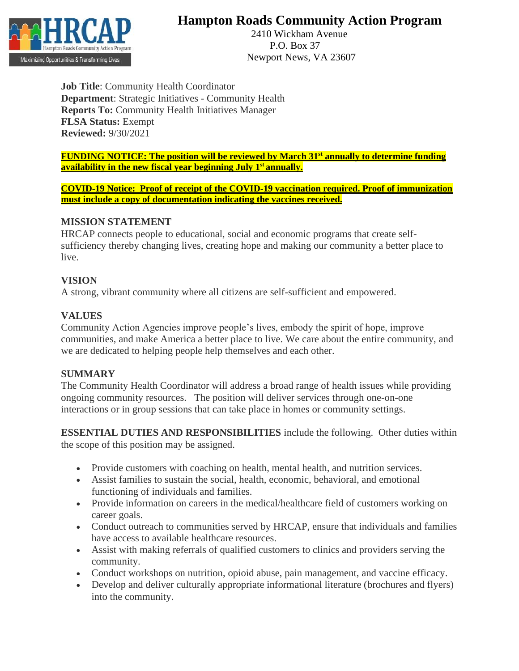

# **Hampton Roads Community Action Program**

 2410 Wickham Avenue P.O. Box 37 Newport News, VA 23607

**Job Title**: Community Health Coordinator **Department**: Strategic Initiatives - Community Health **Reports To:** Community Health Initiatives Manager **FLSA Status:** Exempt **Reviewed:** 9/30/2021

**FUNDING NOTICE: The position will be reviewed by March 31st annually to determine funding availability in the new fiscal year beginning July 1st annually.**

**COVID-19 Notice: Proof of receipt of the COVID-19 vaccination required. Proof of immunization must include a copy of documentation indicating the vaccines received.**

#### **MISSION STATEMENT**

HRCAP connects people to educational, social and economic programs that create selfsufficiency thereby changing lives, creating hope and making our community a better place to live.

#### **VISION**

A strong, vibrant community where all citizens are self-sufficient and empowered.

## **VALUES**

Community Action Agencies improve people's lives, embody the spirit of hope, improve communities, and make America a better place to live. We care about the entire community, and we are dedicated to helping people help themselves and each other.

## **SUMMARY**

The Community Health Coordinator will address a broad range of health issues while providing ongoing community resources. The position will deliver services through one-on-one interactions or in group sessions that can take place in homes or community settings.

**ESSENTIAL DUTIES AND RESPONSIBILITIES** include the following. Other duties within the scope of this position may be assigned.

- Provide customers with coaching on health, mental health, and nutrition services.
- Assist families to sustain the social, health, economic, behavioral, and emotional functioning of individuals and families.
- Provide information on careers in the medical/healthcare field of customers working on career goals.
- Conduct outreach to communities served by HRCAP, ensure that individuals and families have access to available healthcare resources.
- Assist with making referrals of qualified customers to clinics and providers serving the community.
- Conduct workshops on nutrition, opioid abuse, pain management, and vaccine efficacy.
- Develop and deliver culturally appropriate informational literature (brochures and flyers) into the community.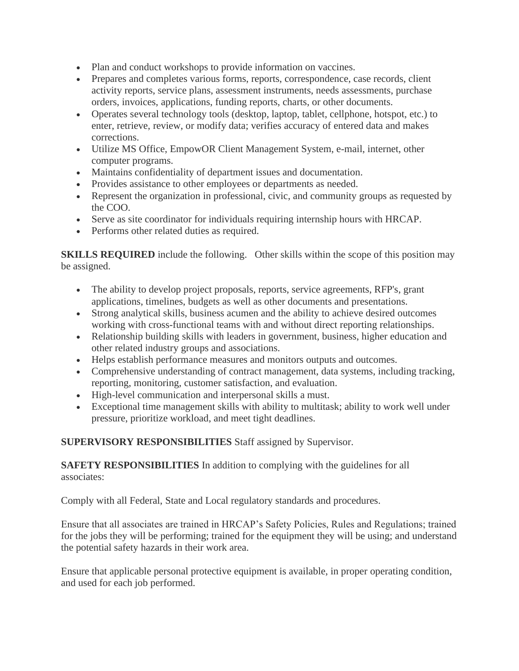- Plan and conduct workshops to provide information on vaccines.
- Prepares and completes various forms, reports, correspondence, case records, client activity reports, service plans, assessment instruments, needs assessments, purchase orders, invoices, applications, funding reports, charts, or other documents.
- Operates several technology tools (desktop, laptop, tablet, cellphone, hotspot, etc.) to enter, retrieve, review, or modify data; verifies accuracy of entered data and makes corrections.
- Utilize MS Office, EmpowOR Client Management System, e-mail, internet, other computer programs.
- Maintains confidentiality of department issues and documentation.
- Provides assistance to other employees or departments as needed.
- Represent the organization in professional, civic, and community groups as requested by the COO.
- Serve as site coordinator for individuals requiring internship hours with HRCAP.
- Performs other related duties as required.

**SKILLS REQUIRED** include the following. Other skills within the scope of this position may be assigned.

- The ability to develop project proposals, reports, service agreements, RFP's, grant applications, timelines, budgets as well as other documents and presentations.
- Strong analytical skills, business acumen and the ability to achieve desired outcomes working with cross-functional teams with and without direct reporting relationships.
- Relationship building skills with leaders in government, business, higher education and other related industry groups and associations.
- Helps establish performance measures and monitors outputs and outcomes.
- Comprehensive understanding of contract management, data systems, including tracking, reporting, monitoring, customer satisfaction, and evaluation.
- High-level communication and interpersonal skills a must.
- Exceptional time management skills with ability to multitask; ability to work well under pressure, prioritize workload, and meet tight deadlines.

**SUPERVISORY RESPONSIBILITIES** Staff assigned by Supervisor.

**SAFETY RESPONSIBILITIES** In addition to complying with the guidelines for all associates:

Comply with all Federal, State and Local regulatory standards and procedures.

Ensure that all associates are trained in HRCAP's Safety Policies, Rules and Regulations; trained for the jobs they will be performing; trained for the equipment they will be using; and understand the potential safety hazards in their work area.

Ensure that applicable personal protective equipment is available, in proper operating condition, and used for each job performed.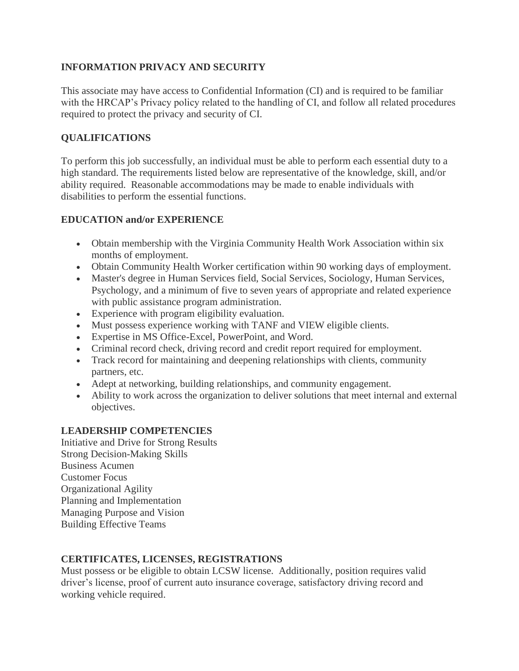## **INFORMATION PRIVACY AND SECURITY**

This associate may have access to Confidential Information (CI) and is required to be familiar with the HRCAP's Privacy policy related to the handling of CI, and follow all related procedures required to protect the privacy and security of CI.

## **QUALIFICATIONS**

To perform this job successfully, an individual must be able to perform each essential duty to a high standard. The requirements listed below are representative of the knowledge, skill, and/or ability required. Reasonable accommodations may be made to enable individuals with disabilities to perform the essential functions.

## **EDUCATION and/or EXPERIENCE**

- Obtain membership with the Virginia Community Health Work Association within six months of employment.
- Obtain Community Health Worker certification within 90 working days of employment.
- Master's degree in Human Services field, Social Services, Sociology, Human Services, Psychology, and a minimum of five to seven years of appropriate and related experience with public assistance program administration.
- Experience with program eligibility evaluation.
- Must possess experience working with TANF and VIEW eligible clients.
- Expertise in MS Office-Excel, PowerPoint, and Word.
- Criminal record check, driving record and credit report required for employment.
- Track record for maintaining and deepening relationships with clients, community partners, etc.
- Adept at networking, building relationships, and community engagement.
- Ability to work across the organization to deliver solutions that meet internal and external objectives.

## **LEADERSHIP COMPETENCIES**

Initiative and Drive for Strong Results Strong Decision-Making Skills Business Acumen Customer Focus Organizational Agility Planning and Implementation Managing Purpose and Vision Building Effective Teams

## **CERTIFICATES, LICENSES, REGISTRATIONS**

Must possess or be eligible to obtain LCSW license. Additionally, position requires valid driver's license, proof of current auto insurance coverage, satisfactory driving record and working vehicle required.